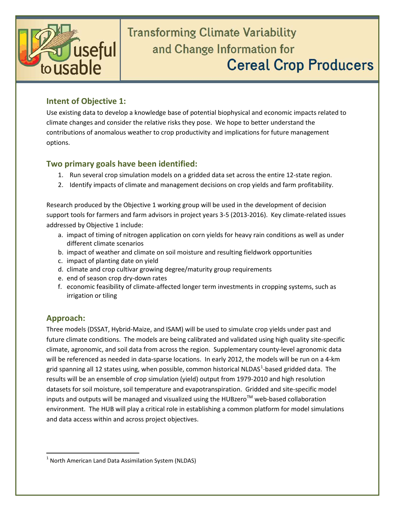

# **Transforming Climate Variability** and Change Information for **Cereal Crop Producers**

#### **Intent of Objective 1:**

Use existing data to develop a knowledge base of potential biophysical and economic impacts related to climate changes and consider the relative risks they pose. We hope to better understand the contributions of anomalous weather to crop productivity and implications for future management options.

#### **Two primary goals have been identified:**

- 1. Run several crop simulation models on a gridded data set across the entire 12-state region.
- 2. Identify impacts of climate and management decisions on crop yields and farm profitability.

Research produced by the Objective 1 working group will be used in the development of decision support tools for farmers and farm advisors in project years 3-5 (2013-2016). Key climate-related issues addressed by Objective 1 include:

- a. impact of timing of nitrogen application on corn yields for heavy rain conditions as well as under different climate scenarios
- b. impact of weather and climate on soil moisture and resulting fieldwork opportunities
- c. impact of planting date on yield
- d. climate and crop cultivar growing degree/maturity group requirements
- e. end of season crop dry-down rates
- f. economic feasibility of climate-affected longer term investments in cropping systems, such as irrigation or tiling

### **Approach:**

Three models (DSSAT, Hybrid-Maize, and ISAM) will be used to simulate crop yields under past and future climate conditions. The models are being calibrated and validated using high quality site-specific climate, agronomic, and soil data from across the region. Supplementary county-level agronomic data will be referenced as needed in data-sparse locations. In early 2012, the models will be run on a 4-km grid spanning all [1](#page-0-0)2 states using, when possible, common historical NLDAS<sup>1</sup>-based gridded data. The results will be an ensemble of crop simulation (yield) output from 1979-2010 and high resolution datasets for soil moisture, soil temperature and evapotranspiration. Gridded and site-specific model inputs and outputs will be managed and visualized using the HUBzero<sup>TM</sup> web-based collaboration environment. The HUB will play a critical role in establishing a common platform for model simulations and data access within and across project objectives.

<span id="page-0-0"></span><sup>&</sup>lt;sup>1</sup> North American Land Data Assimilation System (NLDAS)